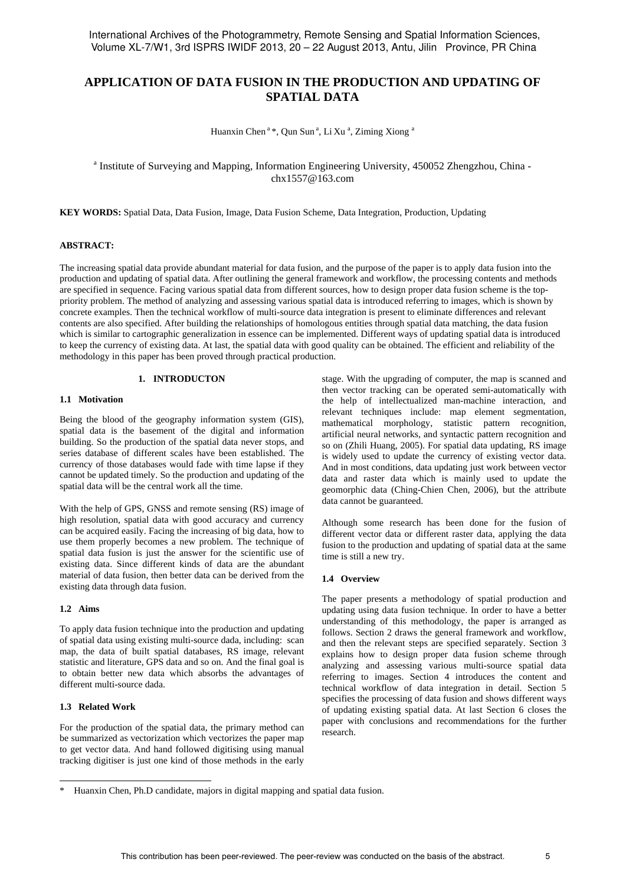# **APPLICATION OF DATA FUSION IN THE PRODUCTION AND UPDATING OF SPATIAL DATA**

Huanxin Chen<sup>a</sup>\*, Qun Sun<sup>a</sup>, Li Xu<sup>a</sup>, Ziming Xiong<sup>a</sup>

## <sup>a</sup> Institute of Surveying and Mapping, Information Engineering University, 450052 Zhengzhou, China chx1557@163.com

**KEY WORDS:** Spatial Data, Data Fusion, Image, Data Fusion Scheme, Data Integration, Production, Updating

#### **ABSTRACT:**

The increasing spatial data provide abundant material for data fusion, and the purpose of the paper is to apply data fusion into the production and updating of spatial data. After outlining the general framework and workflow, the processing contents and methods are specified in sequence. Facing various spatial data from different sources, how to design proper data fusion scheme is the toppriority problem. The method of analyzing and assessing various spatial data is introduced referring to images, which is shown by concrete examples. Then the technical workflow of multi-source data integration is present to eliminate differences and relevant contents are also specified. After building the relationships of homologous entities through spatial data matching, the data fusion which is similar to cartographic generalization in essence can be implemented. Different ways of updating spatial data is introduced to keep the currency of existing data. At last, the spatial data with good quality can be obtained. The efficient and reliability of the methodology in this paper has been proved through practical production.

## **1. INTRODUCTON**

### **1.1 Motivation**

Being the blood of the geography information system (GIS), spatial data is the basement of the digital and information building. So the production of the spatial data never stops, and series database of different scales have been established. The currency of those databases would fade with time lapse if they cannot be updated timely. So the production and updating of the spatial data will be the central work all the time.

With the help of GPS, GNSS and remote sensing (RS) image of high resolution, spatial data with good accuracy and currency can be acquired easily. Facing the increasing of big data, how to use them properly becomes a new problem. The technique of spatial data fusion is just the answer for the scientific use of existing data. Since different kinds of data are the abundant material of data fusion, then better data can be derived from the existing data through data fusion.

#### **1.2 Aims**

To apply data fusion technique into the production and updating of spatial data using existing multi-source dada, including: scan map, the data of built spatial databases, RS image, relevant statistic and literature, GPS data and so on. And the final goal is to obtain better new data which absorbs the advantages of different multi-source dada.

### **1.3 Related Work**

 $\overline{a}$ 

For the production of the spatial data, the primary method can be summarized as vectorization which vectorizes the paper map to get vector data. And hand followed digitising using manual tracking digitiser is just one kind of those methods in the early

stage. With the upgrading of computer, the map is scanned and then vector tracking can be operated semi-automatically with the help of intellectualized man-machine interaction, and relevant techniques include: map element segmentation, mathematical morphology, statistic pattern recognition, artificial neural networks, and syntactic pattern recognition and so on (Zhili Huang, 2005). For spatial data updating, RS image is widely used to update the currency of existing vector data. And in most conditions, data updating just work between vector data and raster data which is mainly used to update the geomorphic data (Ching-Chien Chen, 2006), but the attribute data cannot be guaranteed.

Although some research has been done for the fusion of different vector data or different raster data, applying the data fusion to the production and updating of spatial data at the same time is still a new try.

#### **1.4 Overview**

The paper presents a methodology of spatial production and updating using data fusion technique. In order to have a better understanding of this methodology, the paper is arranged as follows. Section 2 draws the general framework and workflow, and then the relevant steps are specified separately. Section 3 explains how to design proper data fusion scheme through analyzing and assessing various multi-source spatial data referring to images. Section 4 introduces the content and technical workflow of data integration in detail. Section 5 specifies the processing of data fusion and shows different ways of updating existing spatial data. At last Section 6 closes the paper with conclusions and recommendations for the further research.

Huanxin Chen, Ph.D candidate, majors in digital mapping and spatial data fusion.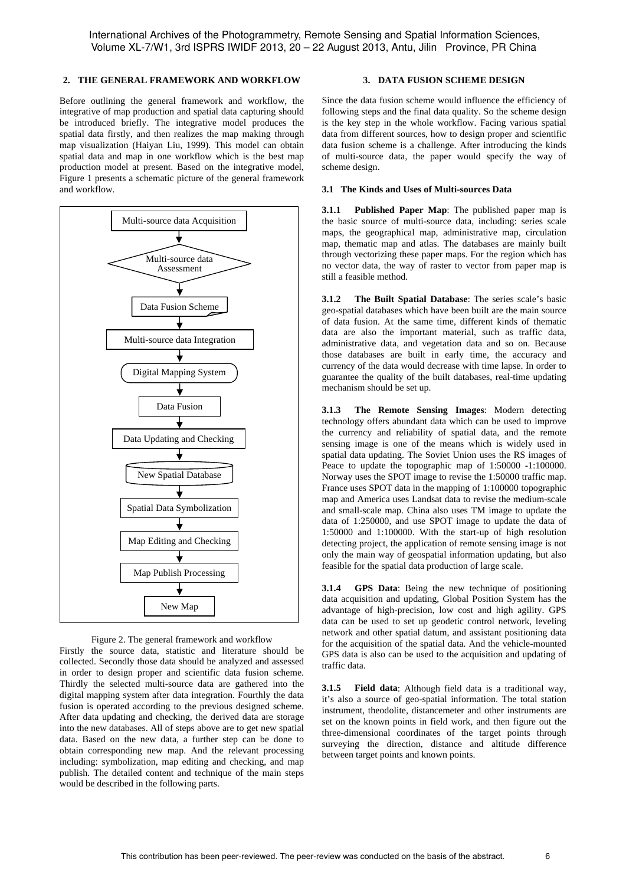### **2. THE GENERAL FRAMEWORK AND WORKFLOW**

Before outlining the general framework and workflow, the integrative of map production and spatial data capturing should be introduced briefly. The integrative model produces the spatial data firstly, and then realizes the map making through map visualization (Haiyan Liu, 1999). This model can obtain spatial data and map in one workflow which is the best map production model at present. Based on the integrative model, Figure 1 presents a schematic picture of the general framework and workflow.





Firstly the source data, statistic and literature should be collected. Secondly those data should be analyzed and assessed in order to design proper and scientific data fusion scheme. Thirdly the selected multi-source data are gathered into the digital mapping system after data integration. Fourthly the data fusion is operated according to the previous designed scheme. After data updating and checking, the derived data are storage into the new databases. All of steps above are to get new spatial data. Based on the new data, a further step can be done to obtain corresponding new map. And the relevant processing including: symbolization, map editing and checking, and map publish. The detailed content and technique of the main steps would be described in the following parts.

## **3. DATA FUSION SCHEME DESIGN**

Since the data fusion scheme would influence the efficiency of following steps and the final data quality. So the scheme design is the key step in the whole workflow. Facing various spatial data from different sources, how to design proper and scientific data fusion scheme is a challenge. After introducing the kinds of multi-source data, the paper would specify the way of scheme design.

## **3.1 The Kinds and Uses of Multi-sources Data**

**3.1.1 Published Paper Map**: The published paper map is the basic source of multi-source data, including: series scale maps, the geographical map, administrative map, circulation map, thematic map and atlas. The databases are mainly built through vectorizing these paper maps. For the region which has no vector data, the way of raster to vector from paper map is still a feasible method.

**3.1.2 The Built Spatial Database**: The series scale's basic geo-spatial databases which have been built are the main source of data fusion. At the same time, different kinds of thematic data are also the important material, such as traffic data, administrative data, and vegetation data and so on. Because those databases are built in early time, the accuracy and currency of the data would decrease with time lapse. In order to guarantee the quality of the built databases, real-time updating mechanism should be set up.

**3.1.3 The Remote Sensing Images**: Modern detecting technology offers abundant data which can be used to improve the currency and reliability of spatial data, and the remote sensing image is one of the means which is widely used in spatial data updating. The Soviet Union uses the RS images of Peace to update the topographic map of 1:50000 -1:100000. Norway uses the SPOT image to revise the 1:50000 traffic map. France uses SPOT data in the mapping of 1:100000 topographic map and America uses Landsat data to revise the medium-scale and small-scale map. China also uses TM image to update the data of 1:250000, and use SPOT image to update the data of 1:50000 and 1:100000. With the start-up of high resolution detecting project, the application of remote sensing image is not only the main way of geospatial information updating, but also feasible for the spatial data production of large scale.

**3.1.4 GPS Data**: Being the new technique of positioning data acquisition and updating, Global Position System has the advantage of high-precision, low cost and high agility. GPS data can be used to set up geodetic control network, leveling network and other spatial datum, and assistant positioning data for the acquisition of the spatial data. And the vehicle-mounted GPS data is also can be used to the acquisition and updating of traffic data.

**3.1.5 Field data**: Although field data is a traditional way, it's also a source of geo-spatial information. The total station instrument, theodolite, distancemeter and other instruments are set on the known points in field work, and then figure out the three-dimensional coordinates of the target points through surveying the direction, distance and altitude difference between target points and known points.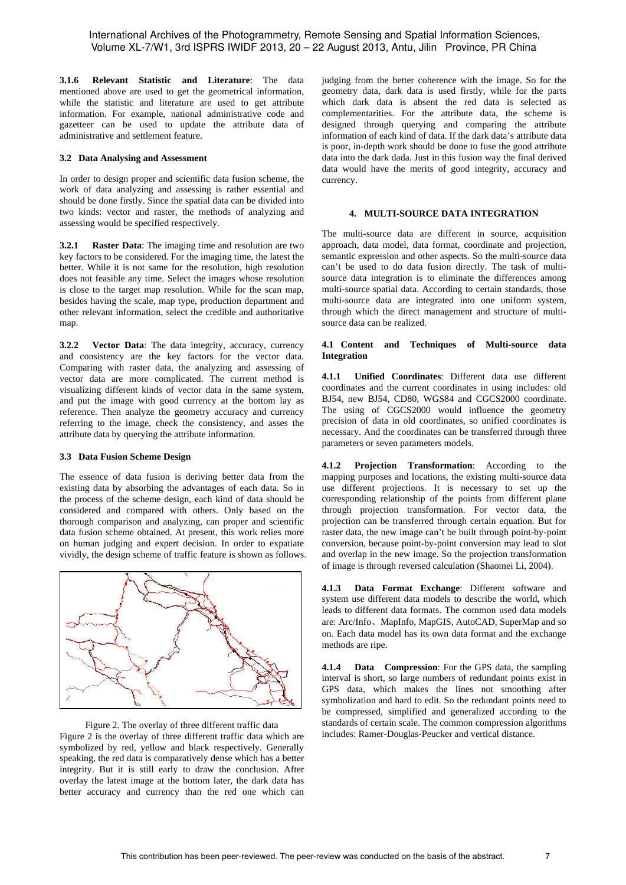**3.1.6 Relevant Statistic and Literature**: The data mentioned above are used to get the geometrical information, while the statistic and literature are used to get attribute information. For example, national administrative code and gazetteer can be used to update the attribute data of administrative and settlement feature.

## **3.2 Data Analysing and Assessment**

In order to design proper and scientific data fusion scheme, the work of data analyzing and assessing is rather essential and should be done firstly. Since the spatial data can be divided into two kinds: vector and raster, the methods of analyzing and assessing would be specified respectively.

**3.2.1 Raster Data**: The imaging time and resolution are two key factors to be considered. For the imaging time, the latest the better. While it is not same for the resolution, high resolution does not feasible any time. Select the images whose resolution is close to the target map resolution. While for the scan map, besides having the scale, map type, production department and other relevant information, select the credible and authoritative map.

**3.2.2 Vector Data**: The data integrity, accuracy, currency and consistency are the key factors for the vector data. Comparing with raster data, the analyzing and assessing of vector data are more complicated. The current method is visualizing different kinds of vector data in the same system, and put the image with good currency at the bottom lay as reference. Then analyze the geometry accuracy and currency referring to the image, check the consistency, and asses the attribute data by querying the attribute information.

#### **3.3 Data Fusion Scheme Design**

The essence of data fusion is deriving better data from the existing data by absorbing the advantages of each data. So in the process of the scheme design, each kind of data should be considered and compared with others. Only based on the thorough comparison and analyzing, can proper and scientific data fusion scheme obtained. At present, this work relies more on human judging and expert decision. In order to expatiate vividly, the design scheme of traffic feature is shown as follows.



Figure 2. The overlay of three different traffic data Figure 2 is the overlay of three different traffic data which are symbolized by red, yellow and black respectively. Generally speaking, the red data is comparatively dense which has a better integrity. But it is still early to draw the conclusion. After overlay the latest image at the bottom later, the dark data has better accuracy and currency than the red one which can judging from the better coherence with the image. So for the geometry data, dark data is used firstly, while for the parts which dark data is absent the red data is selected as complementarities. For the attribute data, the scheme is designed through querying and comparing the attribute information of each kind of data. If the dark data's attribute data is poor, in-depth work should be done to fuse the good attribute data into the dark dada. Just in this fusion way the final derived data would have the merits of good integrity, accuracy and currency.

## **4. MULTI-SOURCE DATA INTEGRATION**

The multi-source data are different in source, acquisition approach, data model, data format, coordinate and projection, semantic expression and other aspects. So the multi-source data can't be used to do data fusion directly. The task of multisource data integration is to eliminate the differences among multi-source spatial data. According to certain standards, those multi-source data are integrated into one uniform system, through which the direct management and structure of multisource data can be realized.

### **4.1 Content and Techniques of Multi-source data Integration**

**4.1.1 Unified Coordinates**: Different data use different coordinates and the current coordinates in using includes: old BJ54, new BJ54, CD80, WGS84 and CGCS2000 coordinate. The using of CGCS2000 would influence the geometry precision of data in old coordinates, so unified coordinates is necessary. And the coordinates can be transferred through three parameters or seven parameters models.

**4.1.2 Projection Transformation**: According to the mapping purposes and locations, the existing multi-source data use different projections. It is necessary to set up the corresponding relationship of the points from different plane through projection transformation. For vector data, the projection can be transferred through certain equation. But for raster data, the new image can't be built through point-by-point conversion, because point-by-point conversion may lead to slot and overlap in the new image. So the projection transformation of image is through reversed calculation (Shaomei Li, 2004).

**4.1.3 Data Format Exchange**: Different software and system use different data models to describe the world, which leads to different data formats. The common used data models are: Arc/Info、MapInfo, MapGIS, AutoCAD, SuperMap and so on. Each data model has its own data format and the exchange methods are ripe.

**4.1.4 Data Compression**: For the GPS data, the sampling interval is short, so large numbers of redundant points exist in GPS data, which makes the lines not smoothing after symbolization and hard to edit. So the redundant points need to be compressed, simplified and generalized according to the standards of certain scale. The common compression algorithms includes: Ramer-Douglas-Peucker and vertical distance.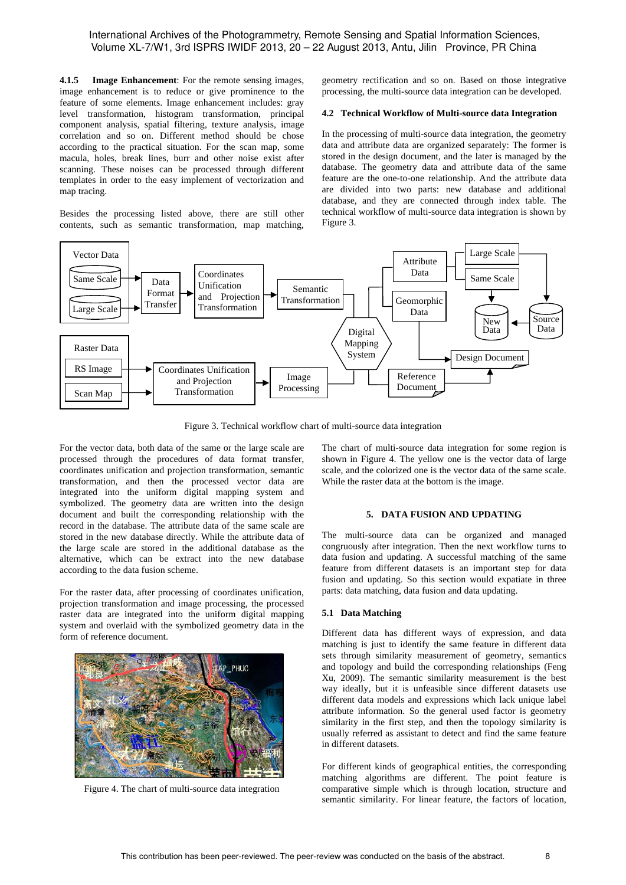**4.1.5 Image Enhancement**: For the remote sensing images, image enhancement is to reduce or give prominence to the feature of some elements. Image enhancement includes: gray level transformation, histogram transformation, principal component analysis, spatial filtering, texture analysis, image correlation and so on. Different method should be chose according to the practical situation. For the scan map, some macula, holes, break lines, burr and other noise exist after scanning. These noises can be processed through different templates in order to the easy implement of vectorization and map tracing.

Besides the processing listed above, there are still other contents, such as semantic transformation, map matching,

geometry rectification and so on. Based on those integrative processing, the multi-source data integration can be developed.

#### **4.2 Technical Workflow of Multi-source data Integration**

In the processing of multi-source data integration, the geometry data and attribute data are organized separately: The former is stored in the design document, and the later is managed by the database. The geometry data and attribute data of the same feature are the one-to-one relationship. And the attribute data are divided into two parts: new database and additional database, and they are connected through index table. The technical workflow of multi-source data integration is shown by Figure 3.



Figure 3. Technical workflow chart of multi-source data integration

For the vector data, both data of the same or the large scale are processed through the procedures of data format transfer, coordinates unification and projection transformation, semantic transformation, and then the processed vector data are integrated into the uniform digital mapping system and symbolized. The geometry data are written into the design document and built the corresponding relationship with the record in the database. The attribute data of the same scale are stored in the new database directly. While the attribute data of the large scale are stored in the additional database as the alternative, which can be extract into the new database according to the data fusion scheme.

For the raster data, after processing of coordinates unification, projection transformation and image processing, the processed raster data are integrated into the uniform digital mapping system and overlaid with the symbolized geometry data in the form of reference document.



Figure 4. The chart of multi-source data integration

The chart of multi-source data integration for some region is shown in Figure 4. The yellow one is the vector data of large scale, and the colorized one is the vector data of the same scale. While the raster data at the bottom is the image.

## **5. DATA FUSION AND UPDATING**

The multi-source data can be organized and managed congruously after integration. Then the next workflow turns to data fusion and updating. A successful matching of the same feature from different datasets is an important step for data fusion and updating. So this section would expatiate in three parts: data matching, data fusion and data updating.

## **5.1 Data Matching**

Different data has different ways of expression, and data matching is just to identify the same feature in different data sets through similarity measurement of geometry, semantics and topology and build the corresponding relationships (Feng Xu, 2009). The semantic similarity measurement is the best way ideally, but it is unfeasible since different datasets use different data models and expressions which lack unique label attribute information. So the general used factor is geometry similarity in the first step, and then the topology similarity is usually referred as assistant to detect and find the same feature in different datasets.

For different kinds of geographical entities, the corresponding matching algorithms are different. The point feature is comparative simple which is through location, structure and semantic similarity. For linear feature, the factors of location,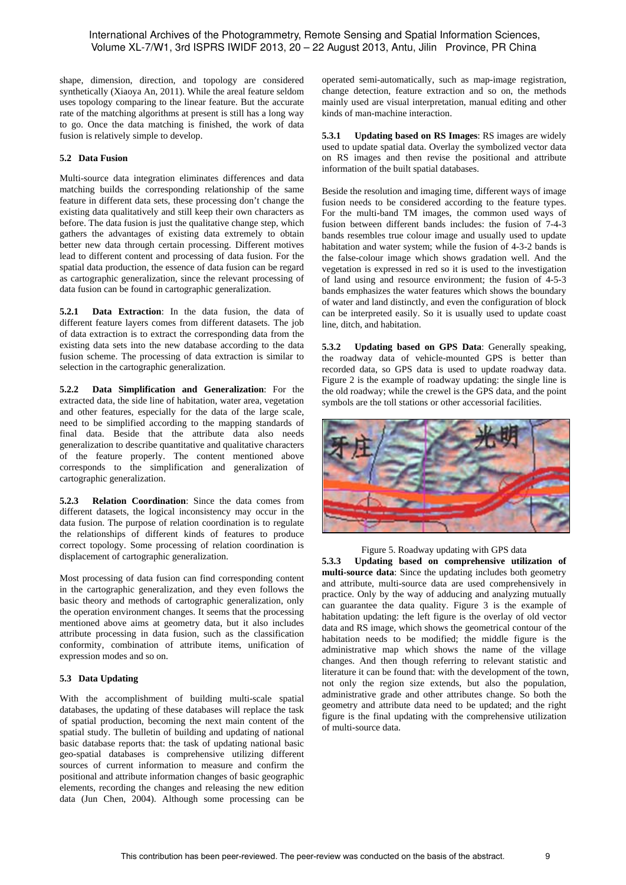shape, dimension, direction, and topology are considered synthetically (Xiaoya An, 2011). While the areal feature seldom uses topology comparing to the linear feature. But the accurate rate of the matching algorithms at present is still has a long way to go. Once the data matching is finished, the work of data fusion is relatively simple to develop.

## **5.2 Data Fusion**

Multi-source data integration eliminates differences and data matching builds the corresponding relationship of the same feature in different data sets, these processing don't change the existing data qualitatively and still keep their own characters as before. The data fusion is just the qualitative change step, which gathers the advantages of existing data extremely to obtain better new data through certain processing. Different motives lead to different content and processing of data fusion. For the spatial data production, the essence of data fusion can be regard as cartographic generalization, since the relevant processing of data fusion can be found in cartographic generalization.

**5.2.1 Data Extraction**: In the data fusion, the data of different feature layers comes from different datasets. The job of data extraction is to extract the corresponding data from the existing data sets into the new database according to the data fusion scheme. The processing of data extraction is similar to selection in the cartographic generalization.

**5.2.2 Data Simplification and Generalization**: For the extracted data, the side line of habitation, water area, vegetation and other features, especially for the data of the large scale, need to be simplified according to the mapping standards of final data. Beside that the attribute data also needs generalization to describe quantitative and qualitative characters of the feature properly. The content mentioned above corresponds to the simplification and generalization of cartographic generalization.

**5.2.3 Relation Coordination**: Since the data comes from different datasets, the logical inconsistency may occur in the data fusion. The purpose of relation coordination is to regulate the relationships of different kinds of features to produce correct topology. Some processing of relation coordination is displacement of cartographic generalization.

Most processing of data fusion can find corresponding content in the cartographic generalization, and they even follows the basic theory and methods of cartographic generalization, only the operation environment changes. It seems that the processing mentioned above aims at geometry data, but it also includes attribute processing in data fusion, such as the classification conformity, combination of attribute items, unification of expression modes and so on.

## **5.3 Data Updating**

With the accomplishment of building multi-scale spatial databases, the updating of these databases will replace the task of spatial production, becoming the next main content of the spatial study. The bulletin of building and updating of national basic database reports that: the task of updating national basic geo-spatial databases is comprehensive utilizing different sources of current information to measure and confirm the positional and attribute information changes of basic geographic elements, recording the changes and releasing the new edition data (Jun Chen, 2004). Although some processing can be

operated semi-automatically, such as map-image registration, change detection, feature extraction and so on, the methods mainly used are visual interpretation, manual editing and other kinds of man-machine interaction.

**5.3.1 Updating based on RS Images**: RS images are widely used to update spatial data. Overlay the symbolized vector data on RS images and then revise the positional and attribute information of the built spatial databases.

Beside the resolution and imaging time, different ways of image fusion needs to be considered according to the feature types. For the multi-band TM images, the common used ways of fusion between different bands includes: the fusion of 7-4-3 bands resembles true colour image and usually used to update habitation and water system; while the fusion of 4-3-2 bands is the false-colour image which shows gradation well. And the vegetation is expressed in red so it is used to the investigation of land using and resource environment; the fusion of 4-5-3 bands emphasizes the water features which shows the boundary of water and land distinctly, and even the configuration of block can be interpreted easily. So it is usually used to update coast line, ditch, and habitation.

**5.3.2 Updating based on GPS Data**: Generally speaking, the roadway data of vehicle-mounted GPS is better than recorded data, so GPS data is used to update roadway data. Figure 2 is the example of roadway updating: the single line is the old roadway; while the crewel is the GPS data, and the point symbols are the toll stations or other accessorial facilities.



Figure 5. Roadway updating with GPS data

**5.3.3 Updating based on comprehensive utilization of multi-source data**: Since the updating includes both geometry and attribute, multi-source data are used comprehensively in practice. Only by the way of adducing and analyzing mutually can guarantee the data quality. Figure 3 is the example of habitation updating: the left figure is the overlay of old vector data and RS image, which shows the geometrical contour of the habitation needs to be modified; the middle figure is the administrative map which shows the name of the village changes. And then though referring to relevant statistic and literature it can be found that: with the development of the town, not only the region size extends, but also the population, administrative grade and other attributes change. So both the geometry and attribute data need to be updated; and the right figure is the final updating with the comprehensive utilization of multi-source data.